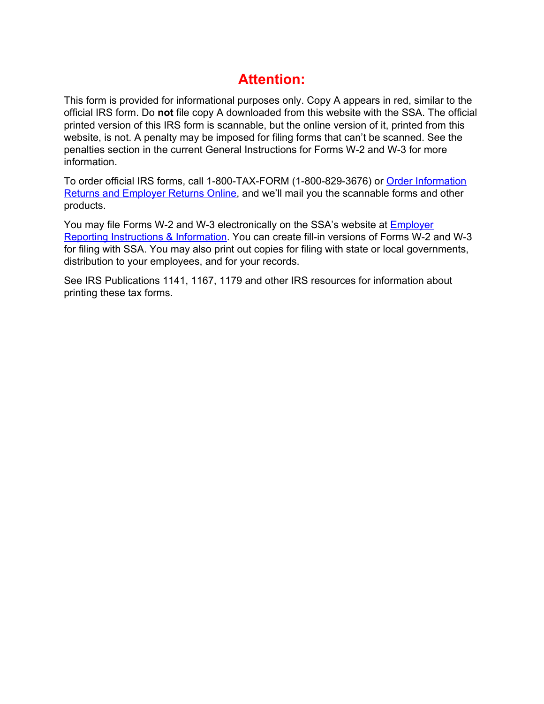# **Attention:**

This form is provided for informational purposes only. Copy A appears in red, similar to the official IRS form. Do **not** file copy A downloaded from this website with the SSA. The official printed version of this IRS form is scannable, but the online version of it, printed from this website, is not. A penalty may be imposed for filing forms that can't be scanned. See the penalties section in the current General Instructions for Forms W-2 and W-3 for more information.

To order official IRS forms, call 1-800-TAX-FORM (1-800-829-3676) or [Order Information](http://www.irs.gov/businesses/page/0,,id=23108,00.html)  [Returns and Employer Returns Online](http://www.irs.gov/businesses/page/0,,id=23108,00.html), and we'll mail you the scannable forms and other products.

You may file Forms W-2 and W-3 electronically on the SSA's website at [Employer](http://www.socialsecurity.gov/employer/)  [Reporting Instructions & Information](http://www.socialsecurity.gov/employer/). You can create fill-in versions of Forms W-2 and W-3 for filing with SSA. You may also print out copies for filing with state or local governments, distribution to your employees, and for your records.

See IRS Publications 1141, 1167, 1179 and other IRS resources for information about printing these tax forms.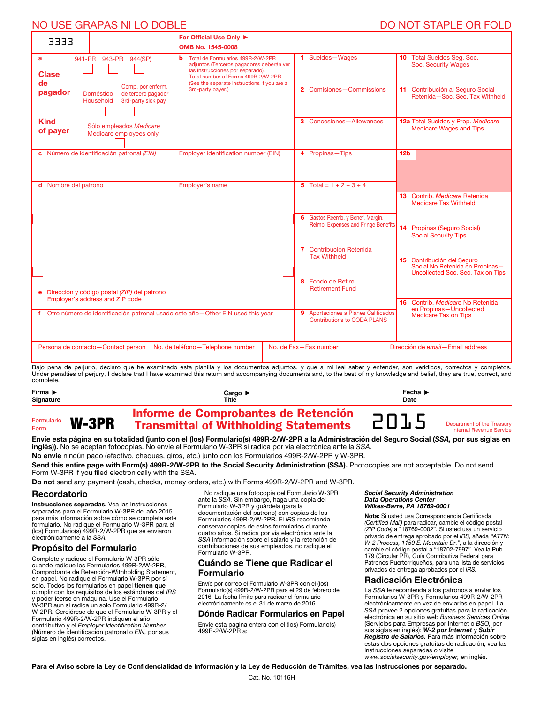# NO USE GRAPAS NI LO DOBLE DO NOT STAPLE OR FOLD

| 3333                                                                               |                                                                                         | For Official Use Only ▶                                                                                                                                                                                                           |  |                                                                                                          |                                                                                                    |
|------------------------------------------------------------------------------------|-----------------------------------------------------------------------------------------|-----------------------------------------------------------------------------------------------------------------------------------------------------------------------------------------------------------------------------------|--|----------------------------------------------------------------------------------------------------------|----------------------------------------------------------------------------------------------------|
|                                                                                    |                                                                                         | OMB No. 1545-0008                                                                                                                                                                                                                 |  |                                                                                                          |                                                                                                    |
| a<br><b>Clase</b><br>de                                                            | 941-PR 943-PR 944(SP)                                                                   | Total de Formularios 499R-2/W-2PR<br>b.<br>adjuntos (Terceros pagadores deberán ver<br>las instrucciones por separado).<br>Total number of Forms 499R-2/W-2PR<br>(See the separate instructions if you are a<br>3rd-party payer.) |  | 1 Sueldos-Wages                                                                                          | 10 Total Sueldos Seg. Soc.<br>Soc. Security Wages                                                  |
| pagador                                                                            | Comp. por enferm.<br>Doméstico<br>de tercero pagador<br>Household<br>3rd-party sick pay |                                                                                                                                                                                                                                   |  | 2 Comisiones-Commissions                                                                                 | 11 Contribución al Seguro Social<br>Retenida-Soc. Sec. Tax Withheld                                |
| <b>Kind</b><br>of payer                                                            | Sólo empleados Medicare<br>Medicare employees only                                      |                                                                                                                                                                                                                                   |  | 3 Concesiones-Allowances                                                                                 | 12a Total Sueldos y Prop. Medicare<br><b>Medicare Wages and Tips</b>                               |
|                                                                                    | c Número de identificación patronal (EIN)                                               | Employer identification number (EIN)                                                                                                                                                                                              |  | 4 Propinas-Tips                                                                                          | 12 <sub>b</sub>                                                                                    |
| d Nombre del patrono                                                               |                                                                                         | Employer's name                                                                                                                                                                                                                   |  | 5 Total = $1 + 2 + 3 + 4$                                                                                | 13 Contrib. Medicare Retenida<br><b>Medicare Tax Withheld</b>                                      |
|                                                                                    |                                                                                         |                                                                                                                                                                                                                                   |  | 6 Gastos Reemb. y Benef. Margin.<br>Reimb. Expenses and Fringe Benefits                                  | 14 Propinas (Seguro Social)<br><b>Social Security Tips</b>                                         |
|                                                                                    |                                                                                         |                                                                                                                                                                                                                                   |  | 7 Contribución Retenida<br><b>Tax Withheld</b>                                                           | 15 Contribución del Seguro<br>Social No Retenida en Propinas-<br>Uncollected Soc. Sec. Tax on Tips |
| e Dirección y código postal (ZIP) del patrono<br>Employer's address and ZIP code   |                                                                                         |                                                                                                                                                                                                                                   |  | 8 Fondo de Retiro<br><b>Retirement Fund</b>                                                              |                                                                                                    |
| f Otro número de identificación patronal usado este año - Other EIN used this year |                                                                                         |                                                                                                                                                                                                                                   |  | 9 Aportaciones a Planes Calificados<br><b>Contributions to CODA PLANS</b>                                | 16 Contrib. Medicare No Retenida<br>en Propinas-Uncollected<br>Medicare Tax on Tips                |
|                                                                                    | Persona de contacto-Contact person<br>the contract of the contract of the contract of   | No. de teléfono-Telephone number<br>the contract of the contract of the contract of the contract of the contract of the contract of the contract of                                                                               |  | No. de Fax-Fax number<br>the contract of the contract of the contract of the contract of the contract of | Dirección de email-Email address<br>$\sim$ 11                                                      |

Bajo pena de perjurio, declaro que he examinado esta planilla y los documentos adjuntos, y que a mi leal saber y entender, son verídicos, correctos y completos. Under penalties of perjury, I declare that I have examined this return and accompanying documents and, to the best of my knowledge and belief, they are true, correct, and complete.

| Firma $\blacktriangleright$        | Cargo ▶                                                                              | Fecha $\blacktriangleright$ |                                                               |
|------------------------------------|--------------------------------------------------------------------------------------|-----------------------------|---------------------------------------------------------------|
| <b>Signature</b>                   | Title                                                                                | Date                        |                                                               |
| W-3PR<br>Formulario<br><b>Form</b> | Informe de Comprobantes de Retención<br><b>Transmittal of Withholding Statements</b> | 2015                        | Department of the Treasury<br><b>Internal Revenue Service</b> |

Envíe esta página en su totalidad (junto con el (los) Formulario(s) 499R-2/W-2PR a la Administración del Seguro Social (*SSA,* por sus siglas en inglés)). No se aceptan fotocopias. No envíe el Formulario W-3PR si radica por vía electrónica ante la *SSA.*

No envíe ningún pago (efectivo, cheques, giros, etc.) junto con los Formularios 499R-2/W-2PR y W-3PR.

Send this entire page with Form(s) 499R-2/W-2PR to the Social Security Administration (SSA). Photocopies are not acceptable. Do not send Form W-3PR if you filed electronically with the SSA.

Do not send any payment (cash, checks, money orders, etc.) with Forms 499R-2/W-2PR and W-3PR.

#### Recordatorio

Instrucciones separadas. Vea las Instrucciones separadas para el Formulario W-3PR del año 2015 para más información sobre cómo se completa este formulario. No radique el Formulario W-3PR para el (los) Formulario(s) 499R-2/W-2PR que se enviaron electrónicamente a la *SSA.*

## Propósito del Formulario

Complete y radique el Formulario W-3PR sólo cuando radique los Formularios 499R-2/W-2PR, Comprobante de Retención-Withholding Statement, en papel. No radique el Formulario W-3PR por sí solo. Todos los formularios en papel tienen que cumplir con los requisitos de los estándares del *IRS* y poder leerse en máquina. Use el Formulario W-3PR aun si radica un solo Formulario 499R-2/ W-2PR. Cerciórese de que el Formulario W-3PR y el Formulario 499R-2/W-2PR indiquen el año contributivo y el *Employer Identification Number*  (Número de identificación patronal o *EIN,* por sus siglas en inglés) correctos.

No radique una fotocopia del Formulario W-3PR ante la *SSA.* Sin embargo, haga una copia del Formulario W-3PR y guárdela (para la documentación del patrono) con copias de los Formularios 499R-2/W-2PR. El *IRS* recomienda conservar copias de estos formularios durante cuatro años. Si radica por vía electrónica ante la *SSA* información sobre el salario y la retención de contribuciones de sus empleados, no radique el Formulario W-3PR.

## Cuándo se Tiene que Radicar el Formulario

Envíe por correo el Formulario W-3PR con el (los) Formulario(s) 499R-2/W-2PR para el 29 de febrero de 2016. La fecha límite para radicar el formulario electrónicamente es el 31 de marzo de 2016.

#### Dónde Radicar Formularios en Papel

Envíe esta página entera con el (los) Formulario(s) 499R-2/W-2PR a:

#### *Social Security Administration Data Operations Center Wilkes-Barre, PA 18769-0001*

Nota: Si usted usa Correspondencia Certificada *(Certified Mail)* para radicar, cambie el código postal *(ZIP Code)* a "18769-0002". Si usted usa un servicio privado de entrega aprobado por el *IRS,* añada *"ATTN: W-2 Process, 1150 E. Mountain Dr.",* a la dirección y cambie el código postal a "18702-7997". Vea la Pub. 179 (Circular PR), Guía Contributiva Federal para Patronos Puertorriqueños, para una lista de servicios privados de entrega aprobados por el *IRS.*

#### Radicación Electrónica

La *SSA* le recomienda a los patronos a enviar los Formularios W-3PR y Formularios 499R-2/W-2PR electrónicamente en vez de enviarlos en papel. La *SSA* provee 2 opciones gratuitas para la radicación electrónica en su sitio web *Business Services Online* (Servicios para Empresas por Internet o *BSO,* por sus siglas en inglés): *W-2 por Internet* y *Subir Registro de Salarios.* Para más información sobre estas dos opciones gratuitas de radicación, vea las instrucciones separadas o visite *www.socialsecurity.gov/employer,* en inglés.

Para el Aviso sobre la Ley de Confidencialidad de Información y la Ley de Reducción de Trámites, vea las Instrucciones por separado.